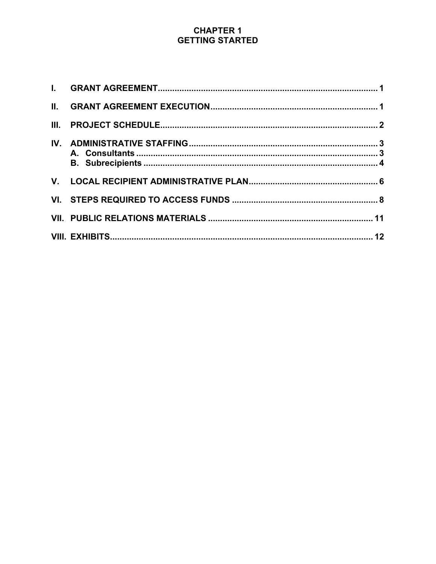| II.  |  |
|------|--|
| III. |  |
|      |  |
|      |  |
|      |  |
|      |  |
|      |  |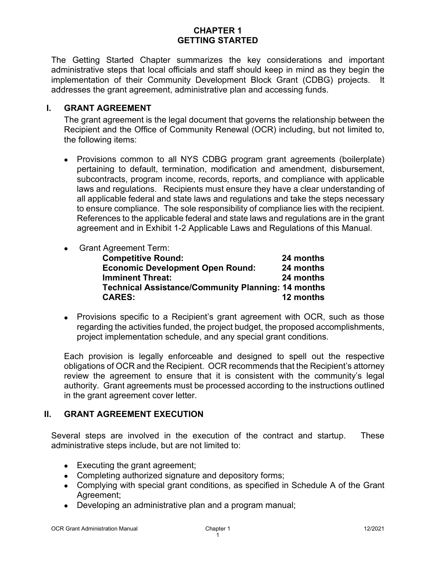The Getting Started Chapter summarizes the key considerations and important administrative steps that local officials and staff should keep in mind as they begin the implementation of their Community Development Block Grant (CDBG) projects. It addresses the grant agreement, administrative plan and accessing funds.

### <span id="page-1-0"></span>**I. GRANT AGREEMENT**

The grant agreement is the legal document that governs the relationship between the Recipient and the Office of Community Renewal (OCR) including, but not limited to, the following items:

• Provisions common to all NYS CDBG program grant agreements (boilerplate) pertaining to default, termination, modification and amendment, disbursement, subcontracts, program income, records, reports, and compliance with applicable laws and regulations. Recipients must ensure they have a clear understanding of all applicable federal and state laws and regulations and take the steps necessary to ensure compliance. The sole responsibility of compliance lies with the recipient. References to the applicable federal and state laws and regulations are in the grant agreement and in Exhibit 1-2 Applicable Laws and Regulations of this Manual.

### • Grant Agreement Term:

| <b>Competitive Round:</b>                                 | 24 months |
|-----------------------------------------------------------|-----------|
| <b>Economic Development Open Round:</b>                   | 24 months |
| <b>Imminent Threat:</b>                                   | 24 months |
| <b>Technical Assistance/Community Planning: 14 months</b> |           |
| <b>CARES:</b>                                             | 12 months |

• Provisions specific to a Recipient's grant agreement with OCR, such as those regarding the activities funded, the project budget, the proposed accomplishments, project implementation schedule, and any special grant conditions.

Each provision is legally enforceable and designed to spell out the respective obligations of OCR and the Recipient. OCR recommends that the Recipient's attorney review the agreement to ensure that it is consistent with the community's legal authority. Grant agreements must be processed according to the instructions outlined in the grant agreement cover letter.

## <span id="page-1-1"></span>**II. GRANT AGREEMENT EXECUTION**

Several steps are involved in the execution of the contract and startup. These administrative steps include, but are not limited to:

- Executing the grant agreement;
- Completing authorized signature and depository forms;
- Complying with special grant conditions, as specified in Schedule A of the Grant Agreement;
- Developing an administrative plan and a program manual;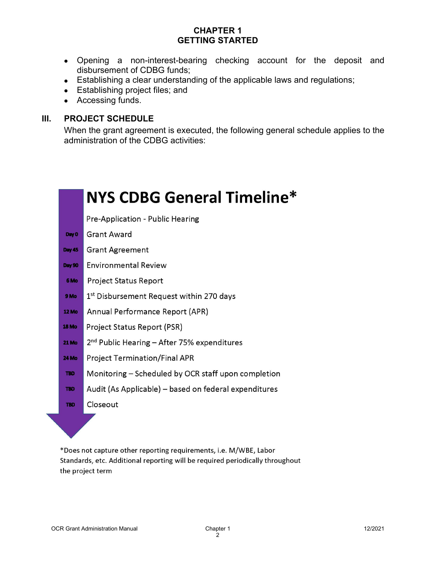- Opening a non-interest-bearing checking account for the deposit and disbursement of CDBG funds;
- Establishing a clear understanding of the applicable laws and regulations;
- Establishing project files; and
- Accessing funds.

### <span id="page-2-0"></span>**III. PROJECT SCHEDULE**

When the grant agreement is executed, the following general schedule applies to the administration of the CDBG activities:



\*Does not capture other reporting requirements, i.e. M/WBE, Labor Standards, etc. Additional reporting will be required periodically throughout the project term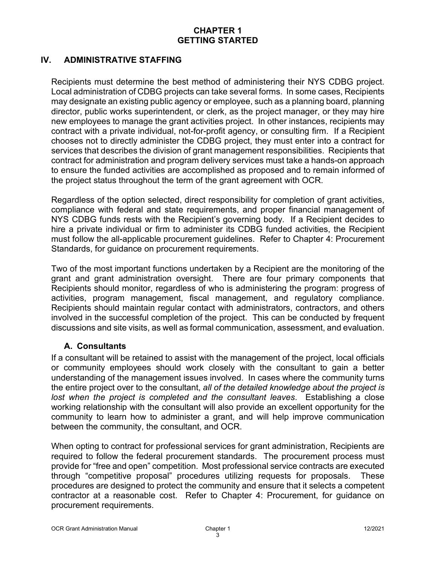## <span id="page-3-0"></span>**IV. ADMINISTRATIVE STAFFING**

Recipients must determine the best method of administering their NYS CDBG project. Local administration of CDBG projects can take several forms. In some cases, Recipients may designate an existing public agency or employee, such as a planning board, planning director, public works superintendent, or clerk, as the project manager, or they may hire new employees to manage the grant activities project. In other instances, recipients may contract with a private individual, not-for-profit agency, or consulting firm. If a Recipient chooses not to directly administer the CDBG project, they must enter into a contract for services that describes the division of grant management responsibilities. Recipients that contract for administration and program delivery services must take a hands-on approach to ensure the funded activities are accomplished as proposed and to remain informed of the project status throughout the term of the grant agreement with OCR.

Regardless of the option selected, direct responsibility for completion of grant activities, compliance with federal and state requirements, and proper financial management of NYS CDBG funds rests with the Recipient's governing body. If a Recipient decides to hire a private individual or firm to administer its CDBG funded activities, the Recipient must follow the all-applicable procurement guidelines. Refer to Chapter 4: Procurement Standards, for guidance on procurement requirements.

Two of the most important functions undertaken by a Recipient are the monitoring of the grant and grant administration oversight. There are four primary components that Recipients should monitor, regardless of who is administering the program: progress of activities, program management, fiscal management, and regulatory compliance. Recipients should maintain regular contact with administrators, contractors, and others involved in the successful completion of the project. This can be conducted by frequent discussions and site visits, as well as formal communication, assessment, and evaluation.

### <span id="page-3-1"></span>**A. Consultants**

If a consultant will be retained to assist with the management of the project, local officials or community employees should work closely with the consultant to gain a better understanding of the management issues involved. In cases where the community turns the entire project over to the consultant, *all of the detailed knowledge about the project is lost when the project is completed and the consultant leaves*. Establishing a close working relationship with the consultant will also provide an excellent opportunity for the community to learn how to administer a grant, and will help improve communication between the community, the consultant, and OCR.

When opting to contract for professional services for grant administration, Recipients are required to follow the federal procurement standards. The procurement process must provide for "free and open" competition. Most professional service contracts are executed through "competitive proposal" procedures utilizing requests for proposals. These procedures are designed to protect the community and ensure that it selects a competent contractor at a reasonable cost. Refer to Chapter 4: Procurement, for guidance on procurement requirements.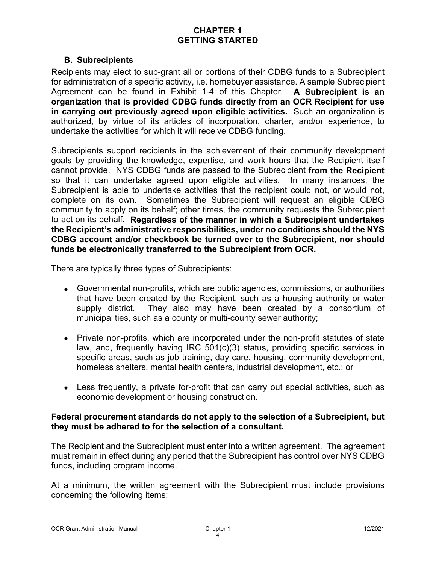### **B. Subrecipients**

<span id="page-4-0"></span>Recipients may elect to sub-grant all or portions of their CDBG funds to a Subrecipient for administration of a specific activity, i.e. homebuyer assistance. A sample Subrecipient Agreement can be found in Exhibit 1-4 of this Chapter. **A Subrecipient is an organization that is provided CDBG funds directly from an OCR Recipient for use in carrying out previously agreed upon eligible activities.** Such an organization is authorized, by virtue of its articles of incorporation, charter, and/or experience, to undertake the activities for which it will receive CDBG funding.

Subrecipients support recipients in the achievement of their community development goals by providing the knowledge, expertise, and work hours that the Recipient itself cannot provide. NYS CDBG funds are passed to the Subrecipient **from the Recipient** so that it can undertake agreed upon eligible activities. Subrecipient is able to undertake activities that the recipient could not, or would not, complete on its own. Sometimes the Subrecipient will request an eligible CDBG community to apply on its behalf; other times, the community requests the Subrecipient to act on its behalf. **Regardless of the manner in which a Subrecipient undertakes the Recipient's administrative responsibilities, under no conditions should the NYS CDBG account and/or checkbook be turned over to the Subrecipient, nor should funds be electronically transferred to the Subrecipient from OCR.**

There are typically three types of Subrecipients:

- Governmental non-profits, which are public agencies, commissions, or authorities that have been created by the Recipient, such as a housing authority or water supply district. They also may have been created by a consortium of municipalities, such as a county or multi-county sewer authority;
- Private non-profits, which are incorporated under the non-profit statutes of state law, and, frequently having IRC 501(c)(3) status, providing specific services in specific areas, such as job training, day care, housing, community development, homeless shelters, mental health centers, industrial development, etc.; or
- Less frequently, a private for-profit that can carry out special activities, such as economic development or housing construction.

### **Federal procurement standards do not apply to the selection of a Subrecipient, but they must be adhered to for the selection of a consultant.**

The Recipient and the Subrecipient must enter into a written agreement. The agreement must remain in effect during any period that the Subrecipient has control over NYS CDBG funds, including program income.

At a minimum, the written agreement with the Subrecipient must include provisions concerning the following items: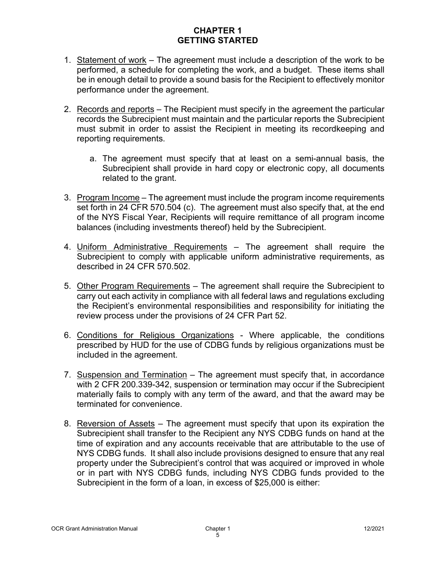- 1. Statement of work The agreement must include a description of the work to be performed, a schedule for completing the work, and a budget. These items shall be in enough detail to provide a sound basis for the Recipient to effectively monitor performance under the agreement.
- 2. Records and reports The Recipient must specify in the agreement the particular records the Subrecipient must maintain and the particular reports the Subrecipient must submit in order to assist the Recipient in meeting its recordkeeping and reporting requirements.
	- a. The agreement must specify that at least on a semi-annual basis, the Subrecipient shall provide in hard copy or electronic copy, all documents related to the grant.
- 3. Program Income The agreement must include the program income requirements set forth in 24 CFR 570.504 (c). The agreement must also specify that, at the end of the NYS Fiscal Year, Recipients will require remittance of all program income balances (including investments thereof) held by the Subrecipient.
- 4. Uniform Administrative Requirements The agreement shall require the Subrecipient to comply with applicable uniform administrative requirements, as described in 24 CFR 570.502.
- 5. Other Program Requirements The agreement shall require the Subrecipient to carry out each activity in compliance with all federal laws and regulations excluding the Recipient's environmental responsibilities and responsibility for initiating the review process under the provisions of 24 CFR Part 52.
- 6. Conditions for Religious Organizations Where applicable, the conditions prescribed by HUD for the use of CDBG funds by religious organizations must be included in the agreement.
- 7. Suspension and Termination The agreement must specify that, in accordance with 2 CFR 200.339-342, suspension or termination may occur if the Subrecipient materially fails to comply with any term of the award, and that the award may be terminated for convenience.
- 8. Reversion of Assets The agreement must specify that upon its expiration the Subrecipient shall transfer to the Recipient any NYS CDBG funds on hand at the time of expiration and any accounts receivable that are attributable to the use of NYS CDBG funds. It shall also include provisions designed to ensure that any real property under the Subrecipient's control that was acquired or improved in whole or in part with NYS CDBG funds, including NYS CDBG funds provided to the Subrecipient in the form of a loan, in excess of \$25,000 is either: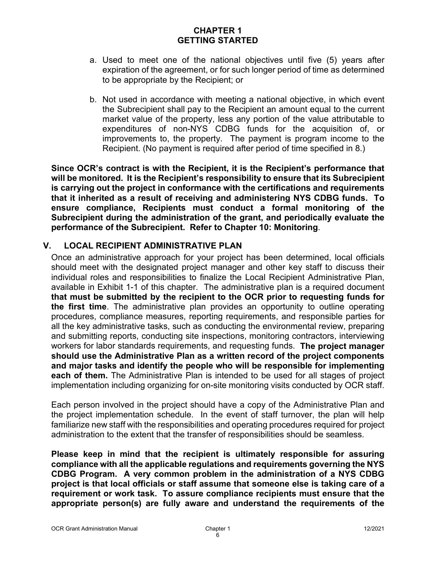- a. Used to meet one of the national objectives until five (5) years after expiration of the agreement, or for such longer period of time as determined to be appropriate by the Recipient; or
- b. Not used in accordance with meeting a national objective, in which event the Subrecipient shall pay to the Recipient an amount equal to the current market value of the property, less any portion of the value attributable to expenditures of non-NYS CDBG funds for the acquisition of, or improvements to, the property. The payment is program income to the Recipient. (No payment is required after period of time specified in 8.)

**Since OCR's contract is with the Recipient, it is the Recipient's performance that will be monitored. It is the Recipient's responsibility to ensure that its Subrecipient is carrying out the project in conformance with the certifications and requirements that it inherited as a result of receiving and administering NYS CDBG funds. To ensure compliance, Recipients must conduct a formal monitoring of the Subrecipient during the administration of the grant, and periodically evaluate the performance of the Subrecipient. Refer to Chapter 10: Monitoring**.

### <span id="page-6-0"></span>**V. LOCAL RECIPIENT ADMINISTRATIVE PLAN**

Once an administrative approach for your project has been determined, local officials should meet with the designated project manager and other key staff to discuss their individual roles and responsibilities to finalize the Local Recipient Administrative Plan, available in Exhibit 1-1 of this chapter. The administrative plan is a required document **that must be submitted by the recipient to the OCR prior to requesting funds for the first time**. The administrative plan provides an opportunity to outline operating procedures, compliance measures, reporting requirements, and responsible parties for all the key administrative tasks, such as conducting the environmental review, preparing and submitting reports, conducting site inspections, monitoring contractors, interviewing workers for labor standards requirements, and requesting funds. **The project manager should use the Administrative Plan as a written record of the project components and major tasks and identify the people who will be responsible for implementing each of them.** The Administrative Plan is intended to be used for all stages of project implementation including organizing for on-site monitoring visits conducted by OCR staff.

Each person involved in the project should have a copy of the Administrative Plan and the project implementation schedule. In the event of staff turnover, the plan will help familiarize new staff with the responsibilities and operating procedures required for project administration to the extent that the transfer of responsibilities should be seamless.

**Please keep in mind that the recipient is ultimately responsible for assuring compliance with all the applicable regulations and requirements governing the NYS CDBG Program. A very common problem in the administration of a NYS CDBG project is that local officials or staff assume that someone else is taking care of a requirement or work task. To assure compliance recipients must ensure that the appropriate person(s) are fully aware and understand the requirements of the**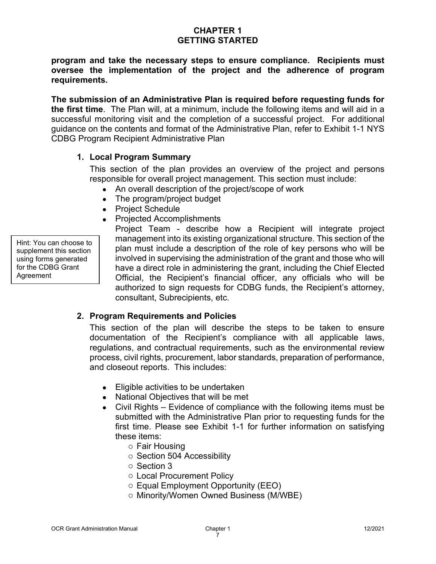**program and take the necessary steps to ensure compliance. Recipients must oversee the implementation of the project and the adherence of program requirements.**

**The submission of an Administrative Plan is required before requesting funds for the first time**. The Plan will, at a minimum, include the following items and will aid in a successful monitoring visit and the completion of a successful project. For additional guidance on the contents and format of the Administrative Plan, refer to Exhibit 1-1 NYS CDBG Program Recipient Administrative Plan

### **1. Local Program Summary**

This section of the plan provides an overview of the project and persons responsible for overall project management. This section must include:

- An overall description of the project/scope of work
- The program/project budget
- Project Schedule
- Projected Accomplishments

Hint: You can choose to supplement this section using forms generated for the CDBG Grant **Agreement** 

Project Team - describe how a Recipient will integrate project management into its existing organizational structure. This section of the plan must include a description of the role of key persons who will be involved in supervising the administration of the grant and those who will have a direct role in administering the grant, including the Chief Elected Official, the Recipient's financial officer, any officials who will be authorized to sign requests for CDBG funds, the Recipient's attorney, consultant, Subrecipients, etc.

## **2. Program Requirements and Policies**

This section of the plan will describe the steps to be taken to ensure documentation of the Recipient's compliance with all applicable laws, regulations, and contractual requirements, such as the environmental review process, civil rights, procurement, labor standards, preparation of performance, and closeout reports. This includes:

- Eligible activities to be undertaken
- National Objectives that will be met
- Civil Rights Evidence of compliance with the following items must be submitted with the Administrative Plan prior to requesting funds for the first time. Please see Exhibit 1-1 for further information on satisfying these items:
	- o Fair Housing
	- o Section 504 Accessibility
	- o Section 3
	- o Local Procurement Policy
	- o Equal Employment Opportunity (EEO)
	- o Minority/Women Owned Business (M/WBE)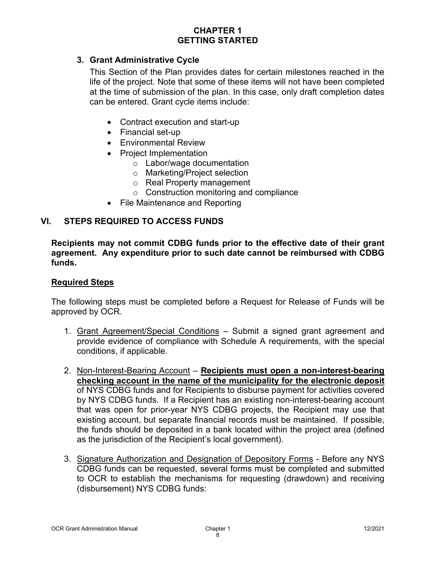### **3. Grant Administrative Cycle**

This Section of the Plan provides dates for certain milestones reached in the life of the project. Note that some of these items will not have been completed at the time of submission of the plan. In this case, only draft completion dates can be entered. Grant cycle items include:

- Contract execution and start-up
- Financial set-up
- Environmental Review
- Project Implementation
	- o Labor/wage documentation
	- o Marketing/Project selection
	- o Real Property management
	- o Construction monitoring and compliance
- File Maintenance and Reporting

### <span id="page-8-0"></span>**VI. STEPS REQUIRED TO ACCESS FUNDS**

**Recipients may not commit CDBG funds prior to the effective date of their grant agreement. Any expenditure prior to such date cannot be reimbursed with CDBG funds.**

#### **Required Steps**

The following steps must be completed before a Request for Release of Funds will be approved by OCR.

- 1. Grant Agreement/Special Conditions Submit a signed grant agreement and provide evidence of compliance with Schedule A requirements, with the special conditions, if applicable.
- 2. Non-Interest-Bearing Account **Recipients must open a non-interest-bearing checking account in the name of the municipality for the electronic deposit** of NYS CDBG funds and for Recipients to disburse payment for activities covered by NYS CDBG funds. If a Recipient has an existing non-interest-bearing account that was open for prior-year NYS CDBG projects, the Recipient may use that existing account, but separate financial records must be maintained. If possible, the funds should be deposited in a bank located within the project area (defined as the jurisdiction of the Recipient's local government).
- 3. Signature Authorization and Designation of Depository Forms Before any NYS CDBG funds can be requested, several forms must be completed and submitted to OCR to establish the mechanisms for requesting (drawdown) and receiving (disbursement) NYS CDBG funds: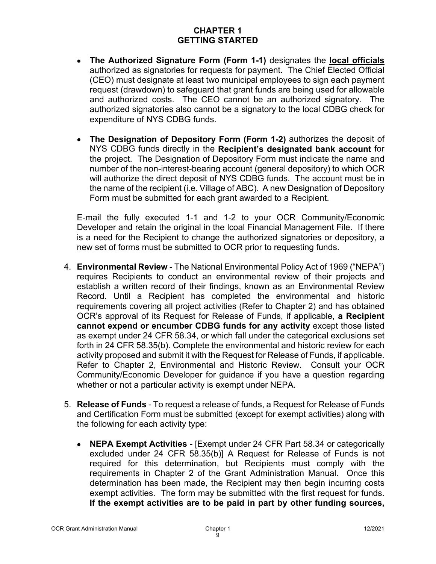- **The Authorized Signature Form (Form 1-1)** designates the **local officials** authorized as signatories for requests for payment. The Chief Elected Official (CEO) must designate at least two municipal employees to sign each payment request (drawdown) to safeguard that grant funds are being used for allowable and authorized costs. The CEO cannot be an authorized signatory. The authorized signatories also cannot be a signatory to the local CDBG check for expenditure of NYS CDBG funds.
- **The Designation of Depository Form (Form 1-2)** authorizes the deposit of NYS CDBG funds directly in the **Recipient's designated bank account** for the project. The Designation of Depository Form must indicate the name and number of the non-interest-bearing account (general depository) to which OCR will authorize the direct deposit of NYS CDBG funds. The account must be in the name of the recipient (i.e. Village of ABC). A new Designation of Depository Form must be submitted for each grant awarded to a Recipient.

E-mail the fully executed 1-1 and 1-2 to your OCR Community/Economic Developer and retain the original in the lcoal Financial Management File. If there is a need for the Recipient to change the authorized signatories or depository, a new set of forms must be submitted to OCR prior to requesting funds.

- 4. **Environmental Review** The National Environmental Policy Act of 1969 ("NEPA") requires Recipients to conduct an environmental review of their projects and establish a written record of their findings, known as an Environmental Review Record. Until a Recipient has completed the environmental and historic requirements covering all project activities (Refer to Chapter 2) and has obtained OCR's approval of its Request for Release of Funds, if applicable, **a Recipient cannot expend or encumber CDBG funds for any activity** except those listed as exempt under 24 CFR 58.34, or which fall under the categorical exclusions set forth in 24 CFR 58.35(b). Complete the environmental and historic review for each activity proposed and submit it with the Request for Release of Funds, if applicable. Refer to Chapter 2, Environmental and Historic Review. Consult your OCR Community/Economic Developer for guidance if you have a question regarding whether or not a particular activity is exempt under NEPA.
- 5. **Release of Funds** To request a release of funds, a Request for Release of Funds and Certification Form must be submitted (except for exempt activities) along with the following for each activity type:
	- **NEPA Exempt Activities** [Exempt under 24 CFR Part 58.34 or categorically excluded under 24 CFR 58.35(b)] A Request for Release of Funds is not required for this determination, but Recipients must comply with the requirements in Chapter 2 of the Grant Administration Manual. Once this determination has been made, the Recipient may then begin incurring costs exempt activities. The form may be submitted with the first request for funds. **If the exempt activities are to be paid in part by other funding sources,**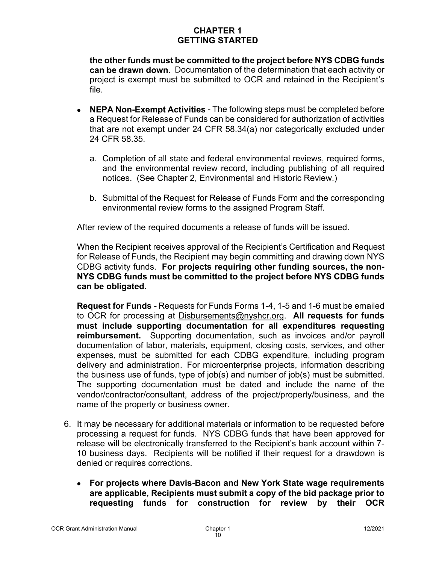**the other funds must be committed to the project before NYS CDBG funds can be drawn down.** Documentation of the determination that each activity or project is exempt must be submitted to OCR and retained in the Recipient's file.

- **NEPA Non-Exempt Activities** The following steps must be completed before a Request for Release of Funds can be considered for authorization of activities that are not exempt under 24 CFR 58.34(a) nor categorically excluded under 24 CFR 58.35.
	- a. Completion of all state and federal environmental reviews, required forms, and the environmental review record, including publishing of all required notices. (See Chapter 2, Environmental and Historic Review.)
	- b. Submittal of the Request for Release of Funds Form and the corresponding environmental review forms to the assigned Program Staff.

After review of the required documents a release of funds will be issued.

When the Recipient receives approval of the Recipient's Certification and Request for Release of Funds, the Recipient may begin committing and drawing down NYS CDBG activity funds. **For projects requiring other funding sources, the non-NYS CDBG funds must be committed to the project before NYS CDBG funds can be obligated.**

**Request for Funds -** Requests for Funds Forms 1-4, 1-5 and 1-6 must be emailed to OCR for processing at [Disbursements@nyshcr.org.](mailto:Disbursements@nyshcr.org) **All requests for funds must include supporting documentation for all expenditures requesting reimbursement.** Supporting documentation, such as invoices and/or payroll documentation of labor, materials, equipment, closing costs, services, and other expenses, must be submitted for each CDBG expenditure, including program delivery and administration. For microenterprise projects, information describing the business use of funds, type of job(s) and number of job(s) must be submitted. The supporting documentation must be dated and include the name of the vendor/contractor/consultant, address of the project/property/business, and the name of the property or business owner.

- 6. It may be necessary for additional materials or information to be requested before processing a request for funds. NYS CDBG funds that have been approved for release will be electronically transferred to the Recipient's bank account within 7- 10 business days. Recipients will be notified if their request for a drawdown is denied or requires corrections.
	- **For projects where Davis-Bacon and New York State wage requirements are applicable, Recipients must submit a copy of the bid package prior to requesting funds for construction for review by their OCR**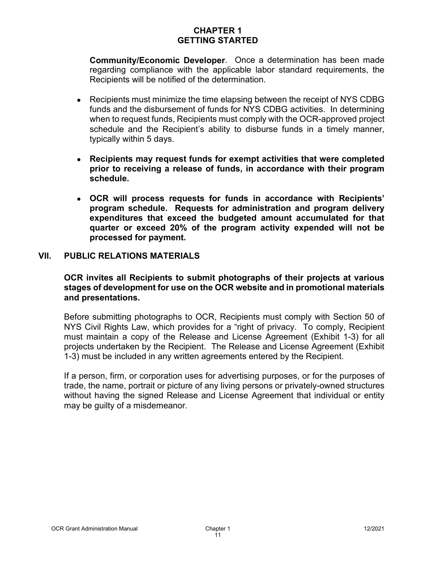**Community/Economic Developer**. Once a determination has been made regarding compliance with the applicable labor standard requirements, the Recipients will be notified of the determination.

- Recipients must minimize the time elapsing between the receipt of NYS CDBG funds and the disbursement of funds for NYS CDBG activities. In determining when to request funds, Recipients must comply with the OCR-approved project schedule and the Recipient's ability to disburse funds in a timely manner, typically within 5 days.
- **Recipients may request funds for exempt activities that were completed prior to receiving a release of funds, in accordance with their program schedule.**
- **OCR will process requests for funds in accordance with Recipients' program schedule. Requests for administration and program delivery expenditures that exceed the budgeted amount accumulated for that quarter or exceed 20% of the program activity expended will not be processed for payment.**

#### <span id="page-11-0"></span>**VII. PUBLIC RELATIONS MATERIALS**

#### **OCR invites all Recipients to submit photographs of their projects at various stages of development for use on the OCR website and in promotional materials and presentations.**

Before submitting photographs to OCR, Recipients must comply with Section 50 of NYS Civil Rights Law, which provides for a "right of privacy. To comply, Recipient must maintain a copy of the Release and License Agreement (Exhibit 1-3) for all projects undertaken by the Recipient. The Release and License Agreement (Exhibit 1-3) must be included in any written agreements entered by the Recipient.

If a person, firm, or corporation uses for advertising purposes, or for the purposes of trade, the name, portrait or picture of any living persons or privately-owned structures without having the signed Release and License Agreement that individual or entity may be guilty of a misdemeanor.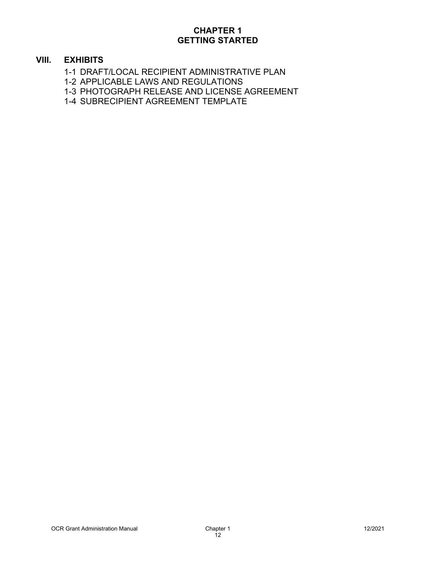### <span id="page-12-0"></span>**VIII. EXHIBITS**

- 1-1 DRAFT/LOCAL RECIPIENT ADMINISTRATIVE PLAN
- 1-2 APPLICABLE LAWS AND REGULATIONS
- 1-3 PHOTOGRAPH RELEASE AND LICENSE AGREEMENT
- 1-4 SUBRECIPIENT AGREEMENT TEMPLATE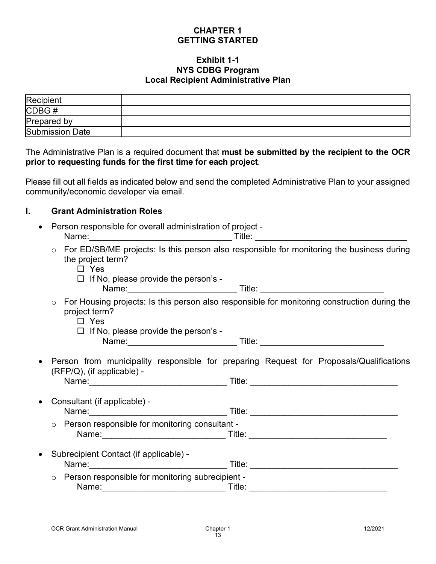#### **Exhibit 1-1 NYS CDBG Program Local Recipient Administrative Plan**

| Recipient              |  |
|------------------------|--|
| CDBG#                  |  |
| Prepared by            |  |
| <b>Submission Date</b> |  |

The Administrative Plan is a required document that **must be submitted by the recipient to the OCR prior to requesting funds for the first time for each project**.

Please fill out all fields as indicated below and send the completed Administrative Plan to your assigned community/economic developer via email.

### **I. Grant Administration Roles**

- Person responsible for overall administration of project Name:\_\_\_\_\_\_\_\_\_\_\_\_\_\_\_\_\_\_\_\_\_\_\_\_\_\_\_\_\_\_ Title: \_\_\_\_\_\_\_\_\_\_\_\_\_\_\_\_\_\_\_\_\_\_\_\_\_\_\_\_\_\_\_\_ o For ED/SB/ME projects: Is this person also responsible for monitoring the business during the project term? Yes
	- $\Box$  If No, please provide the person's -Name:\_\_\_\_\_\_\_\_\_\_\_\_\_\_\_\_\_\_\_\_\_\_\_ Title: \_\_\_\_\_\_\_\_\_\_\_\_\_\_\_\_\_\_\_\_\_\_\_\_\_\_
	- o For Housing projects: Is this person also responsible for monitoring construction during the project term?
		- □ Yes

 $\Box$  If No, please provide the person's -Name:\_\_\_\_\_\_\_\_\_\_\_\_\_\_\_\_\_\_\_\_\_\_\_ Title: \_\_\_\_\_\_\_\_\_\_\_\_\_\_\_\_\_\_\_\_\_\_\_\_\_\_

• Person from municipality responsible for preparing Request for Proposals/Qualifications (RFP/Q), (if applicable) - Name:\_\_\_\_\_\_\_\_\_\_\_\_\_\_\_\_\_\_\_\_\_\_\_\_\_\_\_\_\_ Title: \_\_\_\_\_\_\_\_\_\_\_\_\_\_\_\_\_\_\_\_\_\_\_\_\_\_\_\_\_\_\_

| • Consultant (if applicable) -<br>Name:        | Title: |  |
|------------------------------------------------|--------|--|
| Person responsible for monitoring consultant - |        |  |

|       | ○ Person responsible for monitoring consultant - |  |
|-------|--------------------------------------------------|--|
| Name: | ™itle∶                                           |  |
|       |                                                  |  |

- Subrecipient Contact (if applicable) Name: et al. Title: et al. Title: et al. Title: et al. Title: et al. Title: et al. Title: et al. Title: et al. Title: et al. Title: et al. Title: et al. Title: et al. Title: et al. Title: et al. Title: et al. Title: et al.
	- o Person responsible for monitoring subrecipient Name: example and the set of the set of the set of the set of the set of the set of the set of the set of the set of the set of the set of the set of the set of the set of the set of the set of the set of the set of the se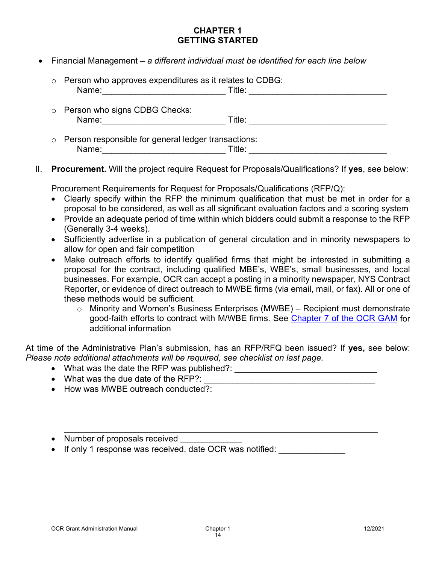• Financial Management – *a different individual must be identified for each line below*

| $\circ$ Person who approves expenditures as it relates to CDBG:<br>Name: | Title: |  |
|--------------------------------------------------------------------------|--------|--|
| o Person who signs CDBG Checks:<br>Name:                                 | Title: |  |
| o Person responsible for general ledger transactions:<br>Name:           | Title: |  |

II. **Procurement.** Will the project require Request for Proposals/Qualifications? If **yes**, see below:

Procurement Requirements for Request for Proposals/Qualifications (RFP/Q):

- Clearly specify within the RFP the minimum qualification that must be met in order for a proposal to be considered, as well as all significant evaluation factors and a scoring system
- Provide an adequate period of time within which bidders could submit a response to the RFP (Generally 3-4 weeks).
- Sufficiently advertise in a publication of general circulation and in minority newspapers to allow for open and fair competition
- Make outreach efforts to identify qualified firms that might be interested in submitting a proposal for the contract, including qualified MBE's, WBE's, small businesses, and local businesses. For example, OCR can accept a posting in a minority newspaper, NYS Contract Reporter, or evidence of direct outreach to MWBE firms (via email, mail, or fax). All or one of these methods would be sufficient.
	- $\circ$  Minority and Women's Business Enterprises (MWBE) Recipient must demonstrate good-faith efforts to contract with M/WBE firms. See [Chapter 7 of the OCR GAM](https://hcr.ny.gov/system/files/documents/2019/11/cdbg-grant-administration-manual-chapter-7-other-federal-requirements.pdf) for additional information

At time of the Administrative Plan's submission, has an RFP/RFQ been issued? If **yes,** see below: *Please note additional attachments will be required, see checklist on last page.* 

\_\_\_\_\_\_\_\_\_\_\_\_\_\_\_\_\_\_\_\_\_\_\_\_\_\_\_\_\_\_\_\_\_\_\_\_\_\_\_\_\_\_\_\_\_\_\_\_\_\_\_\_\_\_\_\_\_\_\_\_\_\_\_\_\_\_

- What was the date the RFP was published?: \_\_\_\_\_\_\_\_\_\_\_\_\_\_\_\_\_\_\_\_\_\_\_\_\_\_\_\_\_\_
- What was the due date of the RFP?:
- How was MWBE outreach conducted?:

• Number of proposals received

• If only 1 response was received, date OCR was notified: \_\_\_\_\_\_\_\_\_\_\_\_\_\_\_\_\_\_\_\_\_\_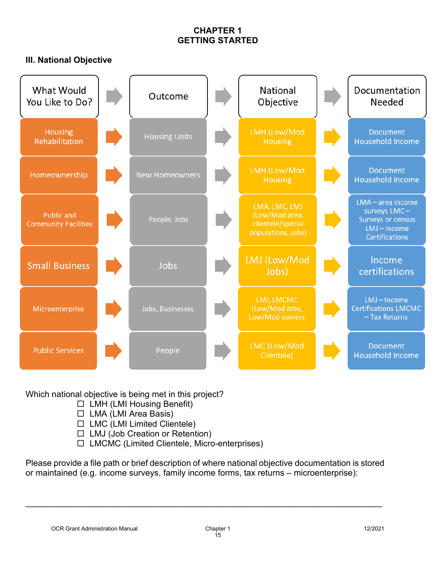### **III. National Objective**

| What Would<br>You Like to Do?             | Outcome               | National<br>Objective                                                      | Documentation<br>Needed                                                                                |
|-------------------------------------------|-----------------------|----------------------------------------------------------------------------|--------------------------------------------------------------------------------------------------------|
| <b>Housing</b><br>Rehabilitation          | <b>Housing Units</b>  | LMH (Low/Mod<br>Housing                                                    | <b>Document</b><br><b>Household Income</b>                                                             |
| Homeownership                             | <b>New Homeowners</b> | LMH (Low/Mod<br>Housing                                                    | <b>Document</b><br><b>Household Income</b>                                                             |
| Public and<br><b>Community Facilities</b> | People, Jobs          | LMA, LMC, LMJ<br>(Low/Mod area,<br>clientele/special<br>populations, jobs) | $LMA - area$ income<br>surveys LMC-<br><b>Surveys or census</b><br>LMJ-Income<br><b>Certifications</b> |
| <b>Small Business</b>                     | Jobs                  | LMJ (Low/Mod<br>Jobs)                                                      | Income<br>certifications                                                                               |
| Microenterprise                           | Jobs, Businesses      | LMJ, LMCMC<br>(Low/Mod Jobs,<br>Low/Mod owners                             | LMJ-Income<br><b>Certifications LMCMC</b><br>- Tax Returns                                             |
| <b>Public Services</b>                    | People                | LMC (Low/Mod<br>Clientele)                                                 | <b>Document</b><br><b>Household Income</b>                                                             |

Which national objective is being met in this project?

- $\Box$  LMH (LMI Housing Benefit)
- $\Box$  LMA (LMI Area Basis)
- $\Box$  LMC (LMI Limited Clientele)
- $\Box$  LMJ (Job Creation or Retention)
- LMCMC (Limited Clientele, Micro-enterprises)

Please provide a file path or brief description of where national objective documentation is stored or maintained (e.g. income surveys, family income forms, tax returns – microenterprise):

\_\_\_\_\_\_\_\_\_\_\_\_\_\_\_\_\_\_\_\_\_\_\_\_\_\_\_\_\_\_\_\_\_\_\_\_\_\_\_\_\_\_\_\_\_\_\_\_\_\_\_\_\_\_\_\_\_\_\_\_\_\_\_\_\_\_\_\_\_\_\_\_\_\_\_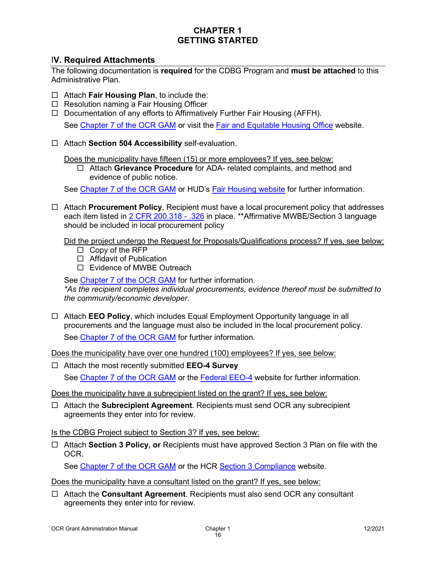#### I**V. Required Attachments**

The following documentation is **required** for the CDBG Program and **must be attached** to this Administrative Plan.

- Attach **Fair Housing Plan**, to include the:
- $\Box$  Resolution naming a Fair Housing Officer
- $\Box$  Documentation of any efforts to Affirmatively Further Fair Housing (AFFH). See [Chapter 7 of the OCR GAM](https://hcr.ny.gov/system/files/documents/2019/11/cdbg-grant-administration-manual-chapter-7-other-federal-requirements.pdf) or visit the [Fair and Equitable Housing Office](https://hcr.ny.gov/fair-and-equitable-housing-office) website.
- Attach **Section 504 Accessibility** self-evaluation.

Does the municipality have fifteen (15) or more employees? If yes, see below:

 Attach **Grievance Procedure** for ADA- related complaints, and method and evidence of public notice.

See [Chapter 7 of the OCR GAM](https://hcr.ny.gov/system/files/documents/2019/11/cdbg-grant-administration-manual-chapter-7-other-federal-requirements.pdf) or HUD's [Fair Housing website](https://hcr.ny.gov/fair-and-equitable-housing-office) for further information.

 Attach **Procurement Policy**, Recipient must have a local procurement policy that addresses each item listed in [2 CFR 200.318 -](https://www.govregs.com/regulations/expand/title2_chapterII_part200_subpartD_subjgrp31_section200.318) .326 in place. \*\*Affirmative MWBE/Section 3 language should be included in local procurement policy

Did the project undergo the Request for Proposals/Qualifications process? If yes, see below:

- $\Box$  Copy of the RFP
- □ Affidavit of Publication
- □ Evidence of MWBE Outreach

See [Chapter 7 of the OCR GAM](https://hcr.ny.gov/system/files/documents/2019/11/cdbg-grant-administration-manual-chapter-7-other-federal-requirements.pdf) for further information.

*\*As the recipient completes individual procurements, evidence thereof must be submitted to the community/economic developer.*

 Attach **EEO Policy**, which includes Equal Employment Opportunity language in all procurements and the language must also be included in the local procurement policy. See [Chapter 7 of the OCR GAM](https://hcr.ny.gov/system/files/documents/2019/11/cdbg-grant-administration-manual-chapter-7-other-federal-requirements.pdf) for further information.

Does the municipality have over one hundred (100) employees? If yes, see below:

 Attach the most recently submitted **EEO-4 Survey** See [Chapter 7 of the OCR GAM](https://hcr.ny.gov/system/files/documents/2019/11/cdbg-grant-administration-manual-chapter-7-other-federal-requirements.pdf) or the [Federal EEO-4](https://eeocdata.org/) website for further information.

Does the municipality have a subrecipient listed on the grant? If yes, see below:

 Attach the **Subrecipient Agreement**. Recipients must send OCR any subrecipient agreements they enter into for review.

Is the CDBG Project subject to Section 3? If yes, see below:

 Attach **Section 3 Policy, or** Recipients must have approved Section 3 Plan on file with the OCR.

See [Chapter 7 of the OCR GAM](https://hcr.ny.gov/system/files/documents/2019/11/cdbg-grant-administration-manual-chapter-7-other-federal-requirements.pdf) or the HCR [Section 3 Compliance](https://hcr.ny.gov/section-3-compliance) website.

Does the municipality have a consultant listed on the grant? If yes, see below:

 Attach the **Consultant Agreement**. Recipients must also send OCR any consultant agreements they enter into for review.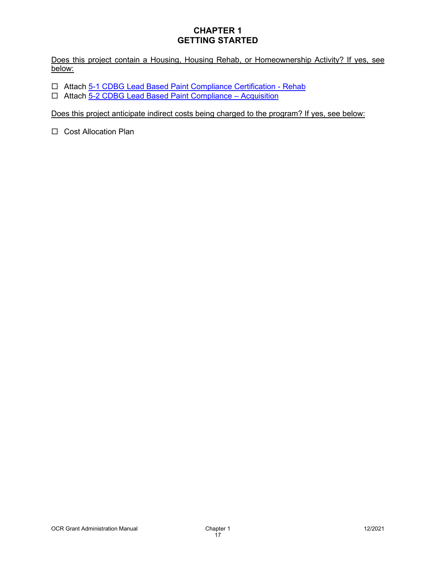Does this project contain a Housing, Housing Rehab, or Homeownership Activity? If yes, see below:

- □ Attach [5-1 CDBG Lead Based Paint Compliance Certification -](https://hcr.ny.gov/system/files/documents/2018/10/5-1-cdbg-leadbasedpaintcompliancecertification-rehab.pdf) Rehab
- Attach [5-2 CDBG Lead Based Paint Compliance –](https://hcr.ny.gov/system/files/documents/2018/10/5-2-cdbg-leadbasedpaintcompliancecertification-acquisition.pdf) Acquisition

Does this project anticipate indirect costs being charged to the program? If yes, see below:

□ Cost Allocation Plan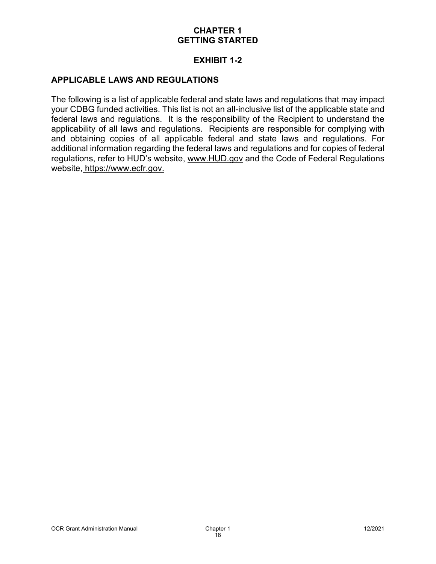### **EXHIBIT 1-2**

### **APPLICABLE LAWS AND REGULATIONS**

The following is a list of applicable federal and state laws and regulations that may impact your CDBG funded activities. This list is not an all-inclusive list of the applicable state and federal laws and regulations. It is the responsibility of the Recipient to understand the applicability of all laws and regulations. Recipients are responsible for complying with and obtaining copies of all applicable federal and state laws and regulations. For additional information regarding the federal laws and regulations and for copies of federal regulations, refer to HUD's website, [www.HUD.gov](http://www.hud.gov/) and the Code of Federal Regulations website, [https://www.ecfr.gov.](https://www.ecfr.gov/)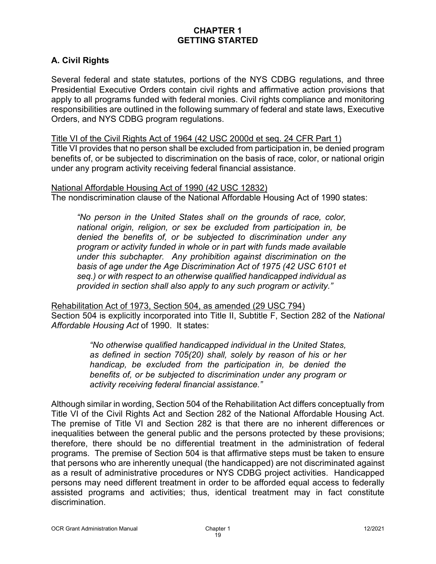# **A. Civil Rights**

Several federal and state statutes, portions of the NYS CDBG regulations, and three Presidential Executive Orders contain civil rights and affirmative action provisions that apply to all programs funded with federal monies. Civil rights compliance and monitoring responsibilities are outlined in the following summary of federal and state laws, Executive Orders, and NYS CDBG program regulations.

Title VI of the Civil Rights Act of 1964 (42 USC 2000d et seq. 24 CFR Part 1)

Title VI provides that no person shall be excluded from participation in, be denied program benefits of, or be subjected to discrimination on the basis of race, color, or national origin under any program activity receiving federal financial assistance.

National Affordable Housing Act of 1990 (42 USC 12832) The nondiscrimination clause of the National Affordable Housing Act of 1990 states:

*"No person in the United States shall on the grounds of race, color, national origin, religion, or sex be excluded from participation in, be denied the benefits of, or be subjected to discrimination under any program or activity funded in whole or in part with funds made available under this subchapter. Any prohibition against discrimination on the basis of age under the Age Discrimination Act of 1975 (42 USC 6101 et seq.) or with respect to an otherwise qualified handicapped individual as provided in section shall also apply to any such program or activity."*

Rehabilitation Act of 1973, Section 504, as amended (29 USC 794) Section 504 is explicitly incorporated into Title II, Subtitle F, Section 282 of the *National Affordable Housing Act* of 1990. It states:

> *"No otherwise qualified handicapped individual in the United States, as defined in section 705(20) shall, solely by reason of his or her handicap, be excluded from the participation in, be denied the benefits of, or be subjected to discrimination under any program or activity receiving federal financial assistance."*

Although similar in wording, Section 504 of the Rehabilitation Act differs conceptually from Title VI of the Civil Rights Act and Section 282 of the National Affordable Housing Act. The premise of Title VI and Section 282 is that there are no inherent differences or inequalities between the general public and the persons protected by these provisions; therefore, there should be no differential treatment in the administration of federal programs. The premise of Section 504 is that affirmative steps must be taken to ensure that persons who are inherently unequal (the handicapped) are not discriminated against as a result of administrative procedures or NYS CDBG project activities. Handicapped persons may need different treatment in order to be afforded equal access to federally assisted programs and activities; thus, identical treatment may in fact constitute discrimination.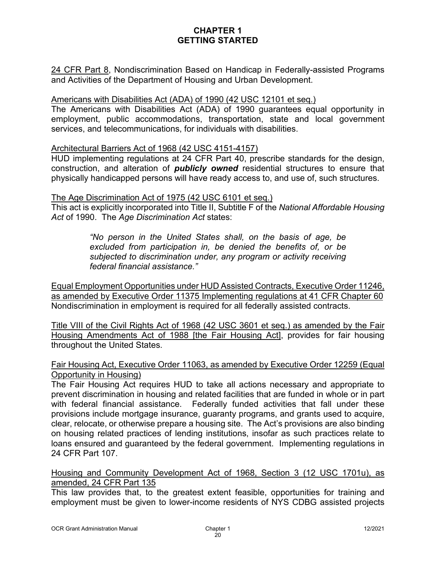24 CFR Part 8, Nondiscrimination Based on Handicap in Federally-assisted Programs and Activities of the Department of Housing and Urban Development.

#### Americans with Disabilities Act (ADA) of 1990 (42 USC 12101 et seq.)

The Americans with Disabilities Act (ADA) of 1990 guarantees equal opportunity in employment, public accommodations, transportation, state and local government services, and telecommunications, for individuals with disabilities.

#### Architectural Barriers Act of 1968 (42 USC 4151-4157)

HUD implementing regulations at 24 CFR Part 40, prescribe standards for the design, construction, and alteration of *publicly owned* residential structures to ensure that physically handicapped persons will have ready access to, and use of, such structures.

The Age Discrimination Act of 1975 (42 USC 6101 et seq.) This act is explicitly incorporated into Title II, Subtitle F of the *National Affordable Housing Act* of 1990. The *Age Discrimination Act* states:

> *"No person in the United States shall, on the basis of age, be excluded from participation in, be denied the benefits of, or be subjected to discrimination under, any program or activity receiving federal financial assistance."*

Equal Employment Opportunities under HUD Assisted Contracts, Executive Order 11246, as amended by Executive Order 11375 Implementing regulations at 41 CFR Chapter 60 Nondiscrimination in employment is required for all federally assisted contracts.

Title VIII of the Civil Rights Act of 1968 (42 USC 3601 et seq.) as amended by the Fair Housing Amendments Act of 1988 [the Fair Housing Act], provides for fair housing throughout the United States.

### Fair Housing Act, Executive Order 11063, as amended by Executive Order 12259 (Equal Opportunity in Housing)

The Fair Housing Act requires HUD to take all actions necessary and appropriate to prevent discrimination in housing and related facilities that are funded in whole or in part with federal financial assistance. Federally funded activities that fall under these provisions include mortgage insurance, guaranty programs, and grants used to acquire, clear, relocate, or otherwise prepare a housing site. The Act's provisions are also binding on housing related practices of lending institutions, insofar as such practices relate to loans ensured and guaranteed by the federal government. Implementing regulations in 24 CFR Part 107.

Housing and Community Development Act of 1968, Section 3 (12 USC 1701u), as amended, 24 CFR Part 135

This law provides that, to the greatest extent feasible, opportunities for training and employment must be given to lower-income residents of NYS CDBG assisted projects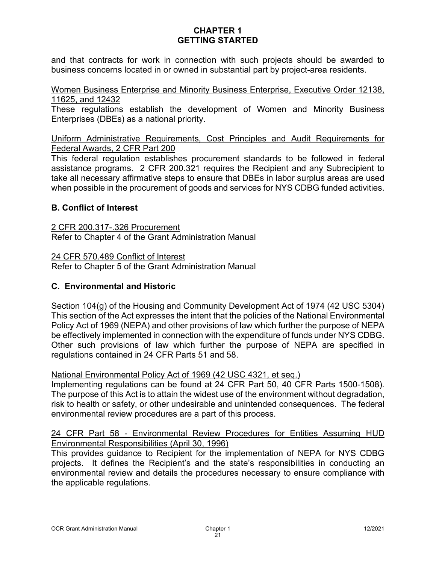and that contracts for work in connection with such projects should be awarded to business concerns located in or owned in substantial part by project-area residents.

Women Business Enterprise and Minority Business Enterprise, Executive Order 12138, 11625, and 12432

These regulations establish the development of Women and Minority Business Enterprises (DBEs) as a national priority.

Uniform Administrative Requirements, Cost Principles and Audit Requirements for Federal Awards, 2 CFR Part 200

This federal regulation establishes procurement standards to be followed in federal assistance programs. 2 CFR 200.321 requires the Recipient and any Subrecipient to take all necessary affirmative steps to ensure that DBEs in labor surplus areas are used when possible in the procurement of goods and services for NYS CDBG funded activities.

### **B. Conflict of Interest**

2 CFR 200.317-.326 Procurement Refer to Chapter 4 of the Grant Administration Manual

24 CFR 570.489 Conflict of Interest

Refer to Chapter 5 of the Grant Administration Manual

### **C. Environmental and Historic**

Section 104(g) of the Housing and Community Development Act of 1974 (42 USC 5304) This section of the Act expresses the intent that the policies of the National Environmental Policy Act of 1969 (NEPA) and other provisions of law which further the purpose of NEPA be effectively implemented in connection with the expenditure of funds under NYS CDBG. Other such provisions of law which further the purpose of NEPA are specified in regulations contained in 24 CFR Parts 51 and 58.

#### National Environmental Policy Act of 1969 (42 USC 4321, et seq.)

Implementing regulations can be found at 24 CFR Part 50, 40 CFR Parts 1500-1508). The purpose of this Act is to attain the widest use of the environment without degradation, risk to health or safety, or other undesirable and unintended consequences. The federal environmental review procedures are a part of this process.

#### 24 CFR Part 58 - Environmental Review Procedures for Entities Assuming HUD Environmental Responsibilities (April 30, 1996)

This provides guidance to Recipient for the implementation of NEPA for NYS CDBG projects. It defines the Recipient's and the state's responsibilities in conducting an environmental review and details the procedures necessary to ensure compliance with the applicable regulations.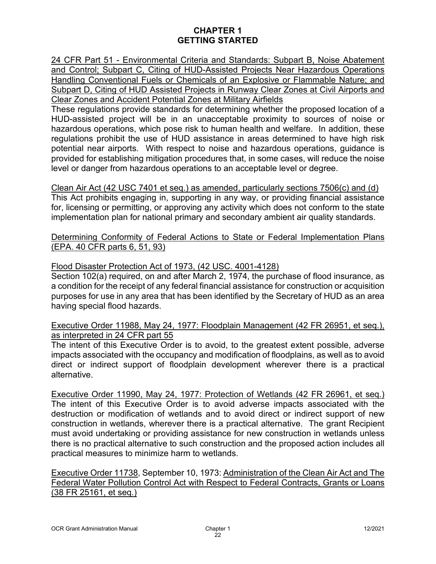24 CFR Part 51 - Environmental Criteria and Standards: Subpart B, Noise Abatement and Control; Subpart C, Citing of HUD-Assisted Projects Near Hazardous Operations Handling Conventional Fuels or Chemicals of an Explosive or Flammable Nature; and Subpart D, Citing of HUD Assisted Projects in Runway Clear Zones at Civil Airports and Clear Zones and Accident Potential Zones at Military Airfields

These regulations provide standards for determining whether the proposed location of a HUD-assisted project will be in an unacceptable proximity to sources of noise or hazardous operations, which pose risk to human health and welfare. In addition, these regulations prohibit the use of HUD assistance in areas determined to have high risk potential near airports. With respect to noise and hazardous operations, guidance is provided for establishing mitigation procedures that, in some cases, will reduce the noise level or danger from hazardous operations to an acceptable level or degree.

Clean Air Act (42 USC 7401 et seq.) as amended, particularly sections 7506(c) and (d) This Act prohibits engaging in, supporting in any way, or providing financial assistance for, licensing or permitting, or approving any activity which does not conform to the state implementation plan for national primary and secondary ambient air quality standards.

Determining Conformity of Federal Actions to State or Federal Implementation Plans (EPA. 40 CFR parts 6, 51, 93)

### Flood Disaster Protection Act of 1973, (42 USC. 4001-4128)

Section 102(a) required, on and after March 2, 1974, the purchase of flood insurance, as a condition for the receipt of any federal financial assistance for construction or acquisition purposes for use in any area that has been identified by the Secretary of HUD as an area having special flood hazards.

### Executive Order 11988, May 24, 1977: Floodplain Management (42 FR 26951, et seq.), as interpreted in 24 CFR part 55

The intent of this Executive Order is to avoid, to the greatest extent possible, adverse impacts associated with the occupancy and modification of floodplains, as well as to avoid direct or indirect support of floodplain development wherever there is a practical alternative.

Executive Order 11990, May 24, 1977: Protection of Wetlands (42 FR 26961, et seq.) The intent of this Executive Order is to avoid adverse impacts associated with the destruction or modification of wetlands and to avoid direct or indirect support of new construction in wetlands, wherever there is a practical alternative. The grant Recipient must avoid undertaking or providing assistance for new construction in wetlands unless there is no practical alternative to such construction and the proposed action includes all practical measures to minimize harm to wetlands.

Executive Order 11738, September 10, 1973: Administration of the Clean Air Act and The Federal Water Pollution Control Act with Respect to Federal Contracts, Grants or Loans (38 FR 25161, et seq.)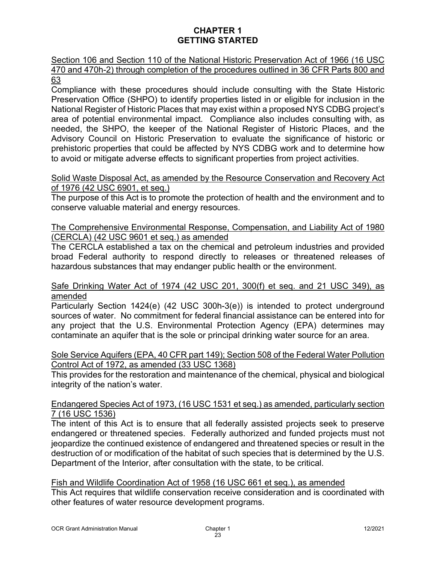Section 106 and Section 110 of the National Historic Preservation Act of 1966 (16 USC 470 and 470h-2) through completion of the procedures outlined in 36 CFR Parts 800 and 63

Compliance with these procedures should include consulting with the State Historic Preservation Office (SHPO) to identify properties listed in or eligible for inclusion in the National Register of Historic Places that may exist within a proposed NYS CDBG project's area of potential environmental impact. Compliance also includes consulting with, as needed, the SHPO, the keeper of the National Register of Historic Places, and the Advisory Council on Historic Preservation to evaluate the significance of historic or prehistoric properties that could be affected by NYS CDBG work and to determine how to avoid or mitigate adverse effects to significant properties from project activities.

#### Solid Waste Disposal Act, as amended by the Resource Conservation and Recovery Act of 1976 (42 USC 6901, et seq.)

The purpose of this Act is to promote the protection of health and the environment and to conserve valuable material and energy resources.

#### The Comprehensive Environmental Response, Compensation, and Liability Act of 1980 (CERCLA) (42 USC 9601 et seq.) as amended

The CERCLA established a tax on the chemical and petroleum industries and provided broad Federal authority to respond directly to releases or threatened releases of hazardous substances that may endanger public health or the environment.

#### Safe Drinking Water Act of 1974 (42 USC 201, 300(f) et seq. and 21 USC 349), as amended

Particularly Section 1424(e) (42 USC 300h-3(e)) is intended to protect underground sources of water. No commitment for federal financial assistance can be entered into for any project that the U.S. Environmental Protection Agency (EPA) determines may contaminate an aquifer that is the sole or principal drinking water source for an area.

#### Sole Service Aquifers (EPA, 40 CFR part 149); Section 508 of the Federal Water Pollution Control Act of 1972, as amended (33 USC 1368)

This provides for the restoration and maintenance of the chemical, physical and biological integrity of the nation's water.

### Endangered Species Act of 1973, (16 USC 1531 et seq.) as amended, particularly section 7 (16 USC 1536)

The intent of this Act is to ensure that all federally assisted projects seek to preserve endangered or threatened species. Federally authorized and funded projects must not jeopardize the continued existence of endangered and threatened species or result in the destruction of or modification of the habitat of such species that is determined by the U.S. Department of the Interior, after consultation with the state, to be critical.

## Fish and Wildlife Coordination Act of 1958 (16 USC 661 et seq.), as amended

This Act requires that wildlife conservation receive consideration and is coordinated with other features of water resource development programs.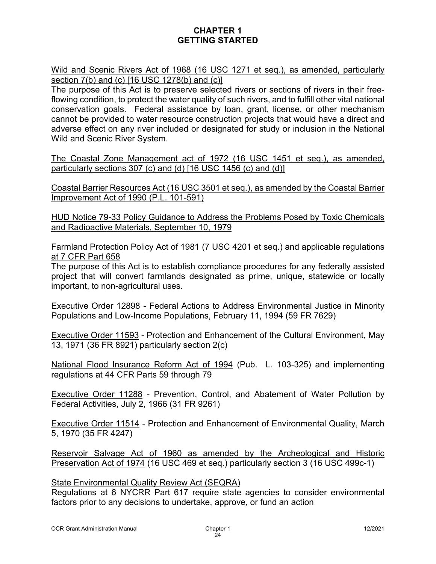Wild and Scenic Rivers Act of 1968 (16 USC 1271 et seq.), as amended, particularly section 7(b) and (c) [16 USC 1278(b) and (c)]

The purpose of this Act is to preserve selected rivers or sections of rivers in their freeflowing condition, to protect the water quality of such rivers, and to fulfill other vital national conservation goals. Federal assistance by loan, grant, license, or other mechanism cannot be provided to water resource construction projects that would have a direct and adverse effect on any river included or designated for study or inclusion in the National Wild and Scenic River System.

The Coastal Zone Management act of 1972 (16 USC 1451 et seq.), as amended, particularly sections 307 (c) and (d) [16 USC 1456 (c) and (d)]

Coastal Barrier Resources Act (16 USC 3501 et seq.), as amended by the Coastal Barrier Improvement Act of 1990 (P.L. 101-591)

HUD Notice 79-33 Policy Guidance to Address the Problems Posed by Toxic Chemicals and Radioactive Materials, September 10, 1979

Farmland Protection Policy Act of 1981 (7 USC 4201 et seq.) and applicable regulations at 7 CFR Part 658

The purpose of this Act is to establish compliance procedures for any federally assisted project that will convert farmlands designated as prime, unique, statewide or locally important, to non-agricultural uses.

Executive Order 12898 - Federal Actions to Address Environmental Justice in Minority Populations and Low-Income Populations, February 11, 1994 (59 FR 7629)

Executive Order 11593 - Protection and Enhancement of the Cultural Environment, May 13, 1971 (36 FR 8921) particularly section 2(c)

National Flood Insurance Reform Act of 1994 (Pub. L. 103-325) and implementing regulations at 44 CFR Parts 59 through 79

Executive Order 11288 - Prevention, Control, and Abatement of Water Pollution by Federal Activities, July 2, 1966 (31 FR 9261)

Executive Order 11514 - Protection and Enhancement of Environmental Quality, March 5, 1970 (35 FR 4247)

Reservoir Salvage Act of 1960 as amended by the Archeological and Historic Preservation Act of 1974 (16 USC 469 et seq.) particularly section 3 (16 USC 499c-1)

### State Environmental Quality Review Act (SEQRA)

Regulations at 6 NYCRR Part 617 require state agencies to consider environmental factors prior to any decisions to undertake, approve, or fund an action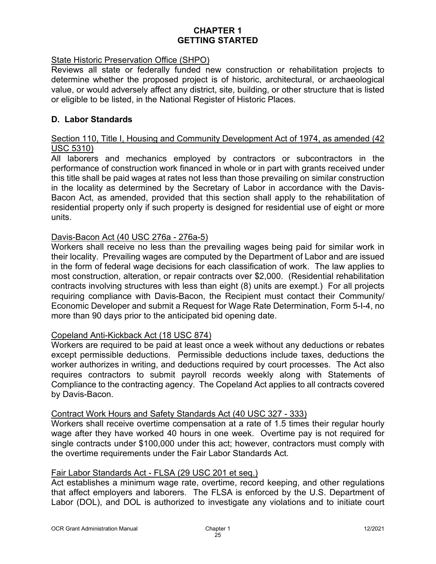### State Historic Preservation Office (SHPO)

Reviews all state or federally funded new construction or rehabilitation projects to determine whether the proposed project is of historic, architectural, or archaeological value, or would adversely affect any district, site, building, or other structure that is listed or eligible to be listed, in the National Register of Historic Places.

#### **D. Labor Standards**

#### Section 110, Title I, Housing and Community Development Act of 1974, as amended (42 USC 5310)

All laborers and mechanics employed by contractors or subcontractors in the performance of construction work financed in whole or in part with grants received under this title shall be paid wages at rates not less than those prevailing on similar construction in the locality as determined by the Secretary of Labor in accordance with the Davis-Bacon Act, as amended, provided that this section shall apply to the rehabilitation of residential property only if such property is designed for residential use of eight or more units.

### Davis-Bacon Act (40 USC 276a - 276a-5)

Workers shall receive no less than the prevailing wages being paid for similar work in their locality. Prevailing wages are computed by the Department of Labor and are issued in the form of federal wage decisions for each classification of work. The law applies to most construction, alteration, or repair contracts over \$2,000. (Residential rehabilitation contracts involving structures with less than eight (8) units are exempt.) For all projects requiring compliance with Davis-Bacon, the Recipient must contact their Community/ Economic Developer and submit a Request for Wage Rate Determination, Form 5-I-4, no more than 90 days prior to the anticipated bid opening date.

### Copeland Anti-Kickback Act (18 USC 874)

Workers are required to be paid at least once a week without any deductions or rebates except permissible deductions. Permissible deductions include taxes, deductions the worker authorizes in writing, and deductions required by court processes. The Act also requires contractors to submit payroll records weekly along with Statements of Compliance to the contracting agency. The Copeland Act applies to all contracts covered by Davis-Bacon.

### Contract Work Hours and Safety Standards Act (40 USC 327 - 333)

Workers shall receive overtime compensation at a rate of 1.5 times their regular hourly wage after they have worked 40 hours in one week. Overtime pay is not required for single contracts under \$100,000 under this act; however, contractors must comply with the overtime requirements under the Fair Labor Standards Act.

#### Fair Labor Standards Act - FLSA (29 USC 201 et seq.)

Act establishes a minimum wage rate, overtime, record keeping, and other regulations that affect employers and laborers. The FLSA is enforced by the U.S. Department of Labor (DOL), and DOL is authorized to investigate any violations and to initiate court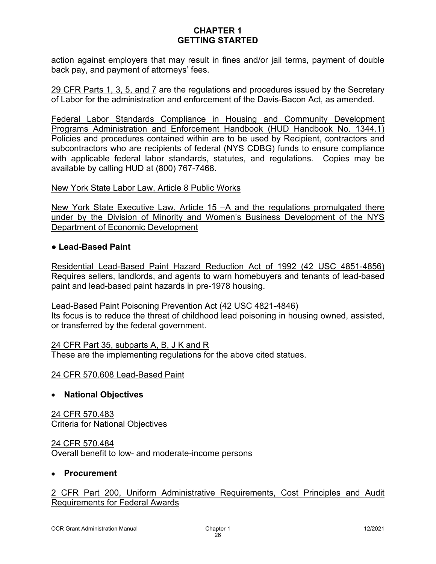action against employers that may result in fines and/or jail terms, payment of double back pay, and payment of attorneys' fees.

29 CFR Parts 1, 3, 5, and 7 are the regulations and procedures issued by the Secretary of Labor for the administration and enforcement of the Davis-Bacon Act, as amended.

Federal Labor Standards Compliance in Housing and Community Development Programs Administration and Enforcement Handbook (HUD Handbook No. 1344.1) Policies and procedures contained within are to be used by Recipient, contractors and subcontractors who are recipients of federal (NYS CDBG) funds to ensure compliance with applicable federal labor standards, statutes, and regulations. Copies may be available by calling HUD at (800) 767-7468.

#### New York State Labor Law, Article 8 Public Works

New York State Executive Law, Article 15 - A and the regulations promulgated there under by the Division of Minority and Women's Business Development of the NYS Department of Economic Development

#### **● Lead-Based Paint**

Residential Lead-Based Paint Hazard Reduction Act of 1992 (42 USC 4851-4856) Requires sellers, landlords, and agents to warn homebuyers and tenants of lead-based paint and lead-based paint hazards in pre-1978 housing.

#### Lead-Based Paint Poisoning Prevention Act (42 USC 4821-4846)

Its focus is to reduce the threat of childhood lead poisoning in housing owned, assisted, or transferred by the federal government.

#### 24 CFR Part 35, subparts A, B, J K and R

These are the implementing regulations for the above cited statues.

#### 24 CFR 570.608 Lead-Based Paint

### • **National Objectives**

24 CFR 570.483 Criteria for National Objectives

24 CFR 570.484 Overall benefit to low- and moderate-income persons

#### • **Procurement**

### 2 CFR Part 200, Uniform Administrative Requirements, Cost Principles and Audit Requirements for Federal Awards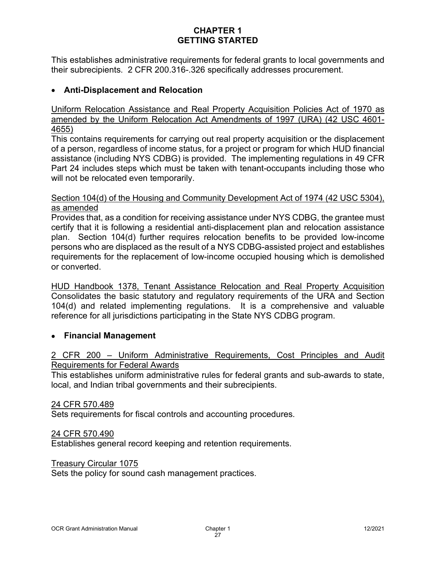This establishes administrative requirements for federal grants to local governments and their subrecipients. 2 CFR 200.316-.326 specifically addresses procurement.

### • **Anti-Displacement and Relocation**

Uniform Relocation Assistance and Real Property Acquisition Policies Act of 1970 as amended by the Uniform Relocation Act Amendments of 1997 (URA) (42 USC 4601- 4655)

This contains requirements for carrying out real property acquisition or the displacement of a person, regardless of income status, for a project or program for which HUD financial assistance (including NYS CDBG) is provided. The implementing regulations in 49 CFR Part 24 includes steps which must be taken with tenant-occupants including those who will not be relocated even temporarily.

#### Section 104(d) of the Housing and Community Development Act of 1974 (42 USC 5304), as amended

Provides that, as a condition for receiving assistance under NYS CDBG, the grantee must certify that it is following a residential anti-displacement plan and relocation assistance plan. Section 104(d) further requires relocation benefits to be provided low-income persons who are displaced as the result of a NYS CDBG-assisted project and establishes requirements for the replacement of low-income occupied housing which is demolished or converted.

HUD Handbook 1378, Tenant Assistance Relocation and Real Property Acquisition Consolidates the basic statutory and regulatory requirements of the URA and Section 104(d) and related implementing regulations. It is a comprehensive and valuable reference for all jurisdictions participating in the State NYS CDBG program.

### • **Financial Management**

### 2 CFR 200 – Uniform Administrative Requirements, Cost Principles and Audit Requirements for Federal Awards

This establishes uniform administrative rules for federal grants and sub-awards to state, local, and Indian tribal governments and their subrecipients.

#### 24 CFR 570.489

Sets requirements for fiscal controls and accounting procedures.

#### 24 CFR 570.490

Establishes general record keeping and retention requirements.

#### Treasury Circular 1075

Sets the policy for sound cash management practices.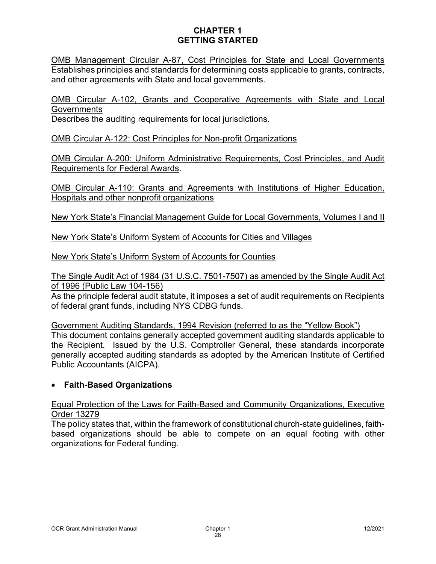OMB Management Circular A-87, Cost Principles for State and Local Governments Establishes principles and standards for determining costs applicable to grants, contracts, and other agreements with State and local governments.

OMB Circular A-102, Grants and Cooperative Agreements with State and Local **Governments** 

Describes the auditing requirements for local jurisdictions.

OMB Circular A-122: Cost Principles for Non-profit Organizations

OMB Circular A-200: Uniform Administrative Requirements, Cost Principles, and Audit Requirements for Federal Awards.

OMB Circular A-110: Grants and Agreements with Institutions of Higher Education, Hospitals and other nonprofit organizations

New York State's Financial Management Guide for Local Governments, Volumes I and II

New York State's Uniform System of Accounts for Cities and Villages

New York State's Uniform System of Accounts for Counties

The Single Audit Act of 1984 (31 U.S.C. 7501-7507) as amended by the Single Audit Act of 1996 (Public Law 104-156)

As the principle federal audit statute, it imposes a set of audit requirements on Recipients of federal grant funds, including NYS CDBG funds.

Government Auditing Standards, 1994 Revision (referred to as the "Yellow Book") This document contains generally accepted government auditing standards applicable to the Recipient. Issued by the U.S. Comptroller General, these standards incorporate generally accepted auditing standards as adopted by the American Institute of Certified Public Accountants (AICPA).

## • **Faith-Based Organizations**

Equal Protection of the Laws for Faith-Based and Community Organizations, Executive Order 13279

The policy states that, within the framework of constitutional church-state guidelines, faithbased organizations should be able to compete on an equal footing with other organizations for Federal funding.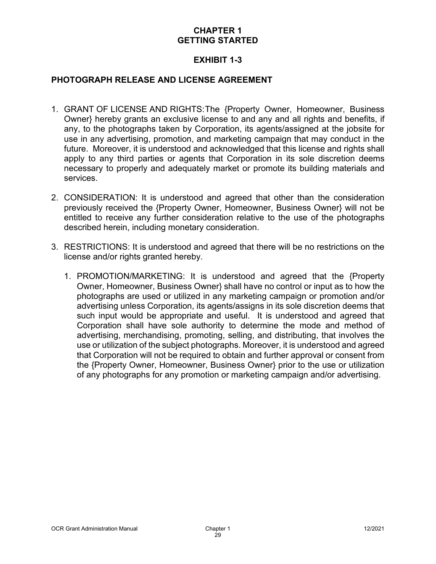### **EXHIBIT 1-3**

#### **PHOTOGRAPH RELEASE AND LICENSE AGREEMENT**

- 1. GRANT OF LICENSE AND RIGHTS:The {Property Owner, Homeowner, Business Owner} hereby grants an exclusive license to and any and all rights and benefits, if any, to the photographs taken by Corporation, its agents/assigned at the jobsite for use in any advertising, promotion, and marketing campaign that may conduct in the future. Moreover, it is understood and acknowledged that this license and rights shall apply to any third parties or agents that Corporation in its sole discretion deems necessary to properly and adequately market or promote its building materials and services.
- 2. CONSIDERATION: It is understood and agreed that other than the consideration previously received the {Property Owner, Homeowner, Business Owner} will not be entitled to receive any further consideration relative to the use of the photographs described herein, including monetary consideration.
- 3. RESTRICTIONS: It is understood and agreed that there will be no restrictions on the license and/or rights granted hereby.
	- 1. PROMOTION/MARKETING: It is understood and agreed that the {Property Owner, Homeowner, Business Owner} shall have no control or input as to how the photographs are used or utilized in any marketing campaign or promotion and/or advertising unless Corporation, its agents/assigns in its sole discretion deems that such input would be appropriate and useful. It is understood and agreed that Corporation shall have sole authority to determine the mode and method of advertising, merchandising, promoting, selling, and distributing, that involves the use or utilization of the subject photographs. Moreover, it is understood and agreed that Corporation will not be required to obtain and further approval or consent from the {Property Owner, Homeowner, Business Owner} prior to the use or utilization of any photographs for any promotion or marketing campaign and/or advertising.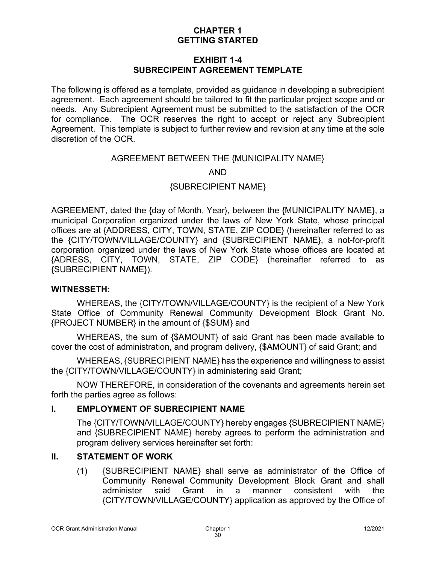### **EXHIBIT 1-4 SUBRECIPEINT AGREEMENT TEMPLATE**

The following is offered as a template, provided as guidance in developing a subrecipient agreement. Each agreement should be tailored to fit the particular project scope and or needs. Any Subrecipient Agreement must be submitted to the satisfaction of the OCR for compliance. The OCR reserves the right to accept or reject any Subrecipient Agreement. This template is subject to further review and revision at any time at the sole discretion of the OCR.

### AGREEMENT BETWEEN THE {MUNICIPALITY NAME}

AND

{SUBRECIPIENT NAME}

AGREEMENT, dated the {day of Month, Year}, between the {MUNICIPALITY NAME}, a municipal Corporation organized under the laws of New York State, whose principal offices are at {ADDRESS, CITY, TOWN, STATE, ZIP CODE} (hereinafter referred to as the {CITY/TOWN/VILLAGE/COUNTY} and {SUBRECIPIENT NAME}, a not-for-profit corporation organized under the laws of New York State whose offices are located at {ADRESS, CITY, TOWN, STATE, ZIP CODE} (hereinafter referred to as {SUBRECIPIENT NAME}).

#### **WITNESSETH:**

WHEREAS, the {CITY/TOWN/VILLAGE/COUNTY} is the recipient of a New York State Office of Community Renewal Community Development Block Grant No. {PROJECT NUMBER} in the amount of {\$SUM} and

WHEREAS, the sum of {\$AMOUNT} of said Grant has been made available to cover the cost of administration, and program delivery, {\$AMOUNT} of said Grant; and

WHEREAS, {SUBRECIPIENT NAME} has the experience and willingness to assist the {CITY/TOWN/VILLAGE/COUNTY} in administering said Grant;

NOW THEREFORE, in consideration of the covenants and agreements herein set forth the parties agree as follows:

### **I. EMPLOYMENT OF SUBRECIPIENT NAME**

The {CITY/TOWN/VILLAGE/COUNTY} hereby engages {SUBRECIPIENT NAME} and {SUBRECIPIENT NAME} hereby agrees to perform the administration and program delivery services hereinafter set forth:

### **II. STATEMENT OF WORK**

(1) {SUBRECIPIENT NAME} shall serve as administrator of the Office of Community Renewal Community Development Block Grant and shall administer said Grant in a manner consistent with the {CITY/TOWN/VILLAGE/COUNTY} application as approved by the Office of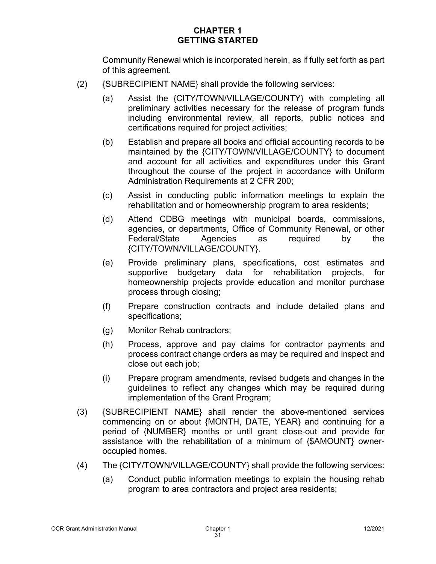Community Renewal which is incorporated herein, as if fully set forth as part of this agreement.

- (2) {SUBRECIPIENT NAME} shall provide the following services:
	- (a) Assist the {CITY/TOWN/VILLAGE/COUNTY} with completing all preliminary activities necessary for the release of program funds including environmental review, all reports, public notices and certifications required for project activities;
	- (b) Establish and prepare all books and official accounting records to be maintained by the {CITY/TOWN/VILLAGE/COUNTY} to document and account for all activities and expenditures under this Grant throughout the course of the project in accordance with Uniform Administration Requirements at 2 CFR 200;
	- (c) Assist in conducting public information meetings to explain the rehabilitation and or homeownership program to area residents;
	- (d) Attend CDBG meetings with municipal boards, commissions, agencies, or departments, Office of Community Renewal, or other Federal/State Agencies as required by the {CITY/TOWN/VILLAGE/COUNTY}.
	- (e) Provide preliminary plans, specifications, cost estimates and supportive budgetary data for rehabilitation projects, for homeownership projects provide education and monitor purchase process through closing;
	- (f) Prepare construction contracts and include detailed plans and specifications;
	- (g) Monitor Rehab contractors;
	- (h) Process, approve and pay claims for contractor payments and process contract change orders as may be required and inspect and close out each job;
	- (i) Prepare program amendments, revised budgets and changes in the guidelines to reflect any changes which may be required during implementation of the Grant Program;
- (3) {SUBRECIPIENT NAME} shall render the above-mentioned services commencing on or about {MONTH, DATE, YEAR} and continuing for a period of {NUMBER} months or until grant close-out and provide for assistance with the rehabilitation of a minimum of {\$AMOUNT} owneroccupied homes.
- (4) The {CITY/TOWN/VILLAGE/COUNTY} shall provide the following services:
	- (a) Conduct public information meetings to explain the housing rehab program to area contractors and project area residents;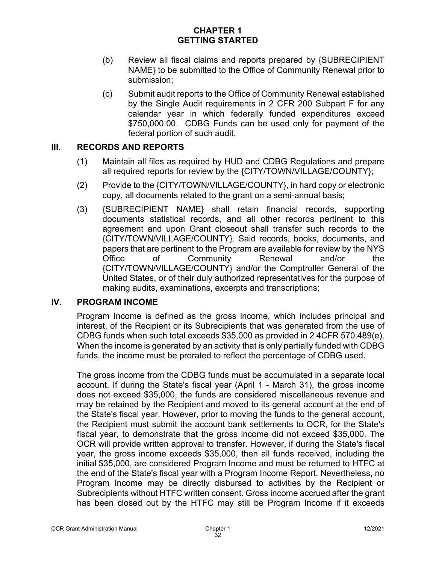- (b) Review all fiscal claims and reports prepared by {SUBRECIPIENT NAME} to be submitted to the Office of Community Renewal prior to submission;
- (c) Submit audit reports to the Office of Community Renewal established by the Single Audit requirements in 2 CFR 200 Subpart F for any calendar year in which federally funded expenditures exceed \$750,000.00. CDBG Funds can be used only for payment of the federal portion of such audit.

### **III. RECORDS AND REPORTS**

- (1) Maintain all files as required by HUD and CDBG Regulations and prepare all required reports for review by the {CITY/TOWN/VILLAGE/COUNTY};
- (2) Provide to the {CITY/TOWN/VILLAGE/COUNTY}, in hard copy or electronic copy, all documents related to the grant on a semi-annual basis;
- (3) {SUBRECIPIENT NAME} shall retain financial records, supporting documents statistical records, and all other records pertinent to this agreement and upon Grant closeout shall transfer such records to the {CITY/TOWN/VILLAGE/COUNTY}. Said records, books, documents, and papers that are pertinent to the Program are available for review by the NYS Office of Community Renewal and/or the {CITY/TOWN/VILLAGE/COUNTY} and/or the Comptroller General of the United States, or of their duly authorized representatives for the purpose of making audits, examinations, excerpts and transcriptions;

### **IV. PROGRAM INCOME**

Program Income is defined as the gross income, which includes principal and interest, of the Recipient or its Subrecipients that was generated from the use of CDBG funds when such total exceeds \$35,000 as provided in 2 4CFR 570.489(e). When the income is generated by an activity that is only partially funded with CDBG funds, the income must be prorated to reflect the percentage of CDBG used.

The gross income from the CDBG funds must be accumulated in a separate local account. If during the State's fiscal year (April 1 - March 31), the gross income does not exceed \$35,000, the funds are considered miscellaneous revenue and may be retained by the Recipient and moved to its general account at the end of the State's fiscal year. However, prior to moving the funds to the general account, the Recipient must submit the account bank settlements to OCR, for the State's fiscal year, to demonstrate that the gross income did not exceed \$35,000. The OCR will provide written approval to transfer. However, if during the State's fiscal year, the gross income exceeds \$35,000, then all funds received, including the initial \$35,000, are considered Program Income and must be returned to HTFC at the end of the State's fiscal year with a Program Income Report. Nevertheless, no Program Income may be directly disbursed to activities by the Recipient or Subrecipients without HTFC written consent. Gross income accrued after the grant has been closed out by the HTFC may still be Program Income if it exceeds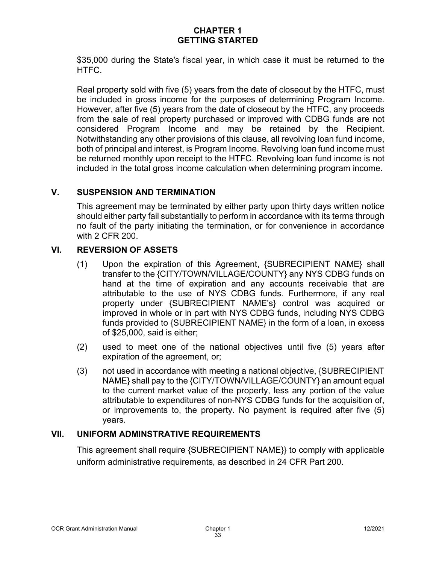\$35,000 during the State's fiscal year, in which case it must be returned to the HTFC.

Real property sold with five (5) years from the date of closeout by the HTFC, must be included in gross income for the purposes of determining Program Income. However, after five (5) years from the date of closeout by the HTFC, any proceeds from the sale of real property purchased or improved with CDBG funds are not considered Program Income and may be retained by the Recipient. Notwithstanding any other provisions of this clause, all revolving loan fund income, both of principal and interest, is Program Income. Revolving loan fund income must be returned monthly upon receipt to the HTFC. Revolving loan fund income is not included in the total gross income calculation when determining program income.

### **V. SUSPENSION AND TERMINATION**

This agreement may be terminated by either party upon thirty days written notice should either party fail substantially to perform in accordance with its terms through no fault of the party initiating the termination, or for convenience in accordance with 2 CFR 200.

## **VI. REVERSION OF ASSETS**

- (1) Upon the expiration of this Agreement, {SUBRECIPIENT NAME} shall transfer to the {CITY/TOWN/VILLAGE/COUNTY} any NYS CDBG funds on hand at the time of expiration and any accounts receivable that are attributable to the use of NYS CDBG funds. Furthermore, if any real property under {SUBRECIPIENT NAME's} control was acquired or improved in whole or in part with NYS CDBG funds, including NYS CDBG funds provided to {SUBRECIPIENT NAME} in the form of a loan, in excess of \$25,000, said is either;
- (2) used to meet one of the national objectives until five (5) years after expiration of the agreement, or;
- (3) not used in accordance with meeting a national objective, {SUBRECIPIENT NAME} shall pay to the {CITY/TOWN/VILLAGE/COUNTY} an amount equal to the current market value of the property, less any portion of the value attributable to expenditures of non-NYS CDBG funds for the acquisition of, or improvements to, the property. No payment is required after five (5) years.

### **VII. UNIFORM ADMINSTRATIVE REQUIREMENTS**

This agreement shall require {SUBRECIPIENT NAME}} to comply with applicable uniform administrative requirements, as described in 24 CFR Part 200.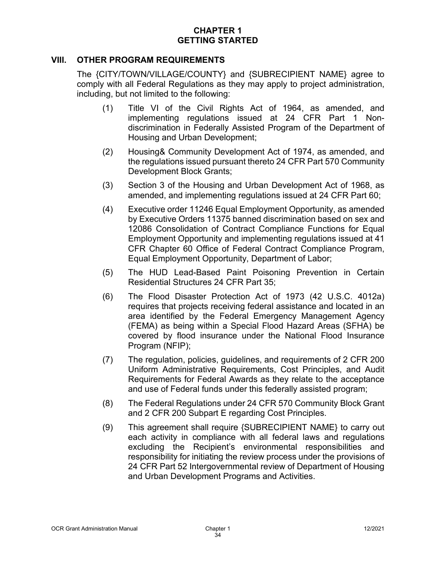#### **VIII. OTHER PROGRAM REQUIREMENTS**

The {CITY/TOWN/VILLAGE/COUNTY} and {SUBRECIPIENT NAME} agree to comply with all Federal Regulations as they may apply to project administration, including, but not limited to the following:

- (1) Title VI of the Civil Rights Act of 1964, as amended, and implementing regulations issued at 24 CFR Part 1 Nondiscrimination in Federally Assisted Program of the Department of Housing and Urban Development;
- (2) Housing& Community Development Act of 1974, as amended, and the regulations issued pursuant thereto 24 CFR Part 570 Community Development Block Grants;
- (3) Section 3 of the Housing and Urban Development Act of 1968, as amended, and implementing regulations issued at 24 CFR Part 60;
- (4) Executive order 11246 Equal Employment Opportunity, as amended by Executive Orders 11375 banned discrimination based on sex and 12086 Consolidation of Contract Compliance Functions for Equal Employment Opportunity and implementing regulations issued at 41 CFR Chapter 60 Office of Federal Contract Compliance Program, Equal Employment Opportunity, Department of Labor;
- (5) The HUD Lead-Based Paint Poisoning Prevention in Certain Residential Structures 24 CFR Part 35;
- (6) The Flood Disaster Protection Act of 1973 (42 U.S.C. 4012a) requires that projects receiving federal assistance and located in an area identified by the Federal Emergency Management Agency (FEMA) as being within a Special Flood Hazard Areas (SFHA) be covered by flood insurance under the National Flood Insurance Program (NFIP);
- (7) The regulation, policies, guidelines, and requirements of 2 CFR 200 Uniform Administrative Requirements, Cost Principles, and Audit Requirements for Federal Awards as they relate to the acceptance and use of Federal funds under this federally assisted program;
- (8) The Federal Regulations under 24 CFR 570 Community Block Grant and 2 CFR 200 Subpart E regarding Cost Principles.
- (9) This agreement shall require {SUBRECIPIENT NAME} to carry out each activity in compliance with all federal laws and regulations excluding the Recipient's environmental responsibilities and responsibility for initiating the review process under the provisions of 24 CFR Part 52 Intergovernmental review of Department of Housing and Urban Development Programs and Activities.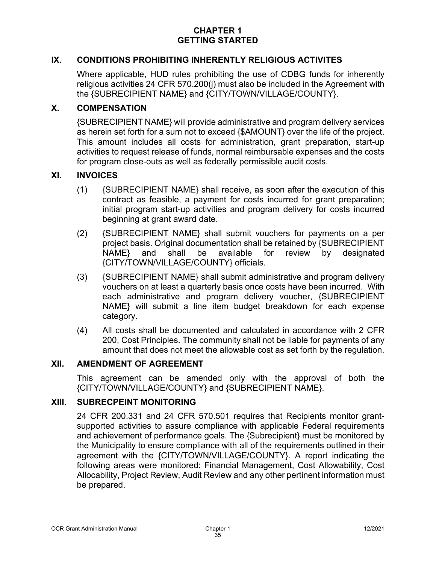### **IX. CONDITIONS PROHIBITING INHERENTLY RELIGIOUS ACTIVITES**

Where applicable, HUD rules prohibiting the use of CDBG funds for inherently religious activities 24 CFR 570.200(j) must also be included in the Agreement with the {SUBRECIPIENT NAME} and {CITY/TOWN/VILLAGE/COUNTY}.

#### **X. COMPENSATION**

{SUBRECIPIENT NAME} will provide administrative and program delivery services as herein set forth for a sum not to exceed {\$AMOUNT} over the life of the project. This amount includes all costs for administration, grant preparation, start-up activities to request release of funds, normal reimbursable expenses and the costs for program close-outs as well as federally permissible audit costs.

#### **XI. INVOICES**

- (1) {SUBRECIPIENT NAME} shall receive, as soon after the execution of this contract as feasible, a payment for costs incurred for grant preparation; initial program start-up activities and program delivery for costs incurred beginning at grant award date.
- (2) {SUBRECIPIENT NAME} shall submit vouchers for payments on a per project basis. Original documentation shall be retained by {SUBRECIPIENT NAME} and shall be available for review by designated {CITY/TOWN/VILLAGE/COUNTY} officials.
- (3) {SUBRECIPIENT NAME} shall submit administrative and program delivery vouchers on at least a quarterly basis once costs have been incurred. With each administrative and program delivery voucher, {SUBRECIPIENT NAME} will submit a line item budget breakdown for each expense category.
- (4) All costs shall be documented and calculated in accordance with 2 CFR 200, Cost Principles. The community shall not be liable for payments of any amount that does not meet the allowable cost as set forth by the regulation.

#### **XII. AMENDMENT OF AGREEMENT**

This agreement can be amended only with the approval of both the {CITY/TOWN/VILLAGE/COUNTY} and {SUBRECIPIENT NAME}.

#### **XIII. SUBRECPEINT MONITORING**

24 CFR 200.331 and 24 CFR 570.501 requires that Recipients monitor grantsupported activities to assure compliance with applicable Federal requirements and achievement of performance goals. The {Subrecipient} must be monitored by the Municipality to ensure compliance with all of the requirements outlined in their agreement with the {CITY/TOWN/VILLAGE/COUNTY}. A report indicating the following areas were monitored: Financial Management, Cost Allowability, Cost Allocability, Project Review, Audit Review and any other pertinent information must be prepared.